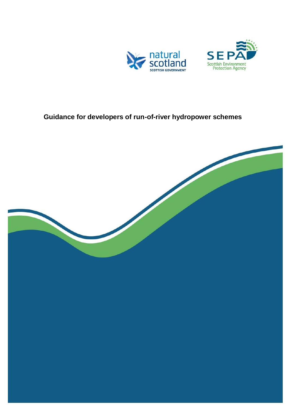



# **Guidance for developers of run-of-river hydropower schemes**

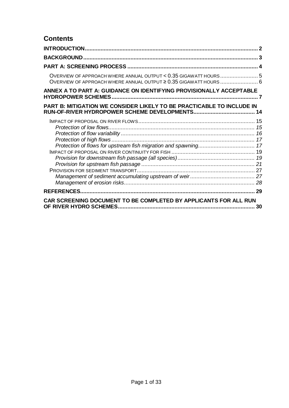## **Contents**

| OVERVIEW OF APPROACH WHERE ANNUAL OUTPUT < 0.35 GIGAWATT HOURS 5<br>OVERVIEW OF APPROACH WHERE ANNUAL OUTPUT ≥ 0.35 GIGAWATT HOURS  6 |    |
|---------------------------------------------------------------------------------------------------------------------------------------|----|
| ANNEX A TO PART A: GUIDANCE ON IDENTIFYING PROVISIONALLY ACCEPTABLE                                                                   |    |
| PART B: MITIGATION WE CONSIDER LIKELY TO BE PRACTICABLE TO INCLUDE IN                                                                 |    |
|                                                                                                                                       |    |
|                                                                                                                                       |    |
| CAR SCREENING DOCUMENT TO BE COMPLETED BY APPLICANTS FOR ALL RUN                                                                      | 30 |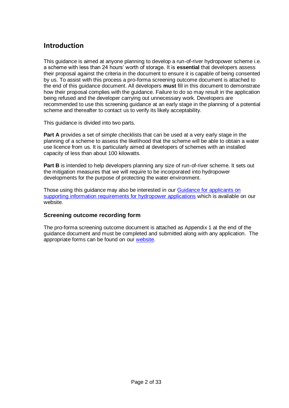## <span id="page-2-0"></span>**Introduction**

This guidance is aimed at anyone planning to develop a run-of-river hydropower scheme i.e. a scheme with less than 24 hours" worth of storage. It is **essential** that developers assess their proposal against the criteria in the document to ensure it is capable of being consented by us. To assist with this process a pro-forma screening outcome document is attached to the end of this guidance document. All developers **must** fill in this document to demonstrate how their proposal complies with the guidance. Failure to do so may result in the application being refused and the developer carrying out unnecessary work. Developers are recommended to use this screening guidance at an early stage in the planning of a potential scheme and thereafter to contact us to verify its likely acceptability.

This guidance is divided into two parts.

Part A provides a set of simple checklists that can be used at a very early stage in the planning of a scheme to assess the likelihood that the scheme will be able to obtain a water use licence from us. It is particularly aimed at developers of schemes with an installed capacity of less than about 100 kilowatts.

**Part B** is intended to help developers planning any size of run-of-river scheme. It sets out the mitigation measures that we will require to be incorporated into hydropower developments for the purpose of protecting the water environment.

Those using this guidance may also be interested in our [Guidance for applicants on](http://www.sepa.org.uk/water/idoc.ashx?docid=358677fe-61f7-4fc9-baab-79cb93671387&version=-1)  [supporting information requirements for hydropower applications](http://www.sepa.org.uk/water/idoc.ashx?docid=358677fe-61f7-4fc9-baab-79cb93671387&version=-1) which is available on our website.

### **Screening outcome recording form**

The pro-forma screening outcome document is attached as Appendix 1 at the end of the guidance document and must be completed and submitted along with any application. The appropriate forms can be found on our [website.](http://www.sepa.org.uk/system_pages/application_forms.aspx)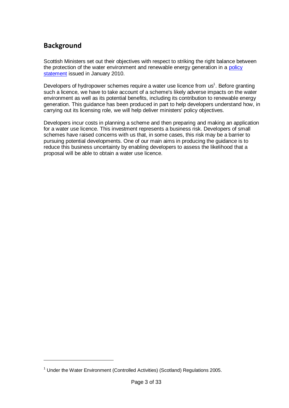## <span id="page-3-0"></span>**Background**

1

Scottish Ministers set out their objectives with respect to striking the right balance between the protection of the water environment and renewable energy generation in a [policy](http://www.scotland.gov.uk/Topics/Business-Industry/Energy/Energy-sources/19185/17851-1/HydroPolicy)  [statement](http://www.scotland.gov.uk/Topics/Business-Industry/Energy/Energy-sources/19185/17851-1/HydroPolicy) issued in January 2010.

Developers of hydropower schemes require a water use licence from us<sup>1</sup>. Before granting such a licence, we have to take account of a scheme's likely adverse impacts on the water environment as well as its potential benefits, including its contribution to renewable energy generation. This guidance has been produced in part to help developers understand how, in carrying out its licensing role, we will help deliver ministers' policy objectives.

Developers incur costs in planning a scheme and then preparing and making an application for a water use licence. This investment represents a business risk. Developers of small schemes have raised concerns with us that, in some cases, this risk may be a barrier to pursuing potential developments. One of our main aims in producing the guidance is to reduce this business uncertainty by enabling developers to assess the likelihood that a proposal will be able to obtain a water use licence.

<sup>&</sup>lt;sup>1</sup> Under the Water Environment (Controlled Activities) (Scotland) Regulations 2005.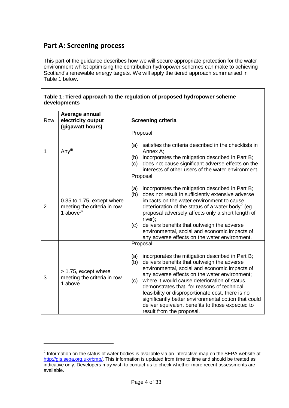## <span id="page-4-0"></span>**Part A: Screening process**

1

This part of the guidance describes how we will secure appropriate protection for the water environment whilst optimising the contribution hydropower schemes can make to achieving Scotland's renewable energy targets. We will apply the tiered approach summarised in Table 1 below.

| Row            | developments<br>Average annual<br>electricity output                       | <b>Screening criteria</b>                                                                                                                                                                                                                                                                                                                                                                                                                                                                                            |
|----------------|----------------------------------------------------------------------------|----------------------------------------------------------------------------------------------------------------------------------------------------------------------------------------------------------------------------------------------------------------------------------------------------------------------------------------------------------------------------------------------------------------------------------------------------------------------------------------------------------------------|
|                | (gigawatt hours)                                                           | Proposal:                                                                                                                                                                                                                                                                                                                                                                                                                                                                                                            |
| 1              | Any $(i)$                                                                  | satisfies the criteria described in the checklists in<br>(a)<br>Annex A:<br>incorporates the mitigation described in Part B;<br>(b)<br>does not cause significant adverse effects on the<br>(c)<br>interests of other users of the water environment.                                                                                                                                                                                                                                                                |
|                |                                                                            | Proposal:                                                                                                                                                                                                                                                                                                                                                                                                                                                                                                            |
| $\overline{2}$ | 0.35 to 1.75, except where<br>meeting the criteria in row<br>1 above $(i)$ | incorporates the mitigation described in Part B;<br>(a)<br>does not result in sufficiently extensive adverse<br>(b)<br>impacts on the water environment to cause<br>deterioration of the status of a water body <sup>2</sup> (eg<br>proposal adversely affects only a short length of<br>river);<br>delivers benefits that outweigh the adverse<br>(c)<br>environmental, social and economic impacts of<br>any adverse effects on the water environment.                                                             |
|                |                                                                            | Proposal:                                                                                                                                                                                                                                                                                                                                                                                                                                                                                                            |
| 3              | > 1.75, except where<br>meeting the criteria in row<br>1 above             | incorporates the mitigation described in Part B;<br>(a)<br>delivers benefits that outweigh the adverse<br>(b)<br>environmental, social and economic impacts of<br>any adverse effects on the water environment;<br>where it would cause deterioration of status,<br>(c)<br>demonstrates that, for reasons of technical<br>feasibility or disproportionate cost, there is no<br>significantly better environmental option that could<br>deliver equivalent benefits to those expected to<br>result from the proposal. |

 $2$  Information on the status of water bodies is available via an interactive map on the SEPA website at [http://gis.sepa.org.uk/rbmp/.](http://gis.sepa.org.uk/rbmp/) This information is updated from time to time and should be treated as indicative only. Developers may wish to contact us to check whether more recent assessments are available.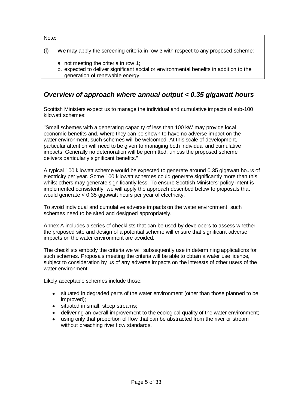Note:

- (i) We may apply the screening criteria in row 3 with respect to any proposed scheme:
	- a. not meeting the criteria in row 1;
	- b. expected to deliver significant social or environmental benefits in addition to the generation of renewable energy.

## <span id="page-5-0"></span>*Overview of approach where annual output < 0.35 gigawatt hours*

Scottish Ministers expect us to manage the individual and cumulative impacts of sub-100 kilowatt schemes:

"Small schemes with a generating capacity of less than 100 kW may provide local economic benefits and, where they can be shown to have no adverse impact on the water environment, such schemes will be welcomed. At this scale of development, particular attention will need to be given to managing both individual and cumulative impacts. Generally no deterioration will be permitted, unless the proposed scheme delivers particularly significant benefits."

A typical 100 kilowatt scheme would be expected to generate around 0.35 gigawatt hours of electricity per year. Some 100 kilowatt schemes could generate significantly more than this whilst others may generate significantly less. To ensure Scottish Ministers' policy intent is implemented consistently, we will apply the approach described below to proposals that would generate < 0.35 gigawatt hours per year of electricity.

To avoid individual and cumulative adverse impacts on the water environment, such schemes need to be sited and designed appropriately.

Annex A includes a series of checklists that can be used by developers to assess whether the proposed site and design of a potential scheme will ensure that significant adverse impacts on the water environment are avoided.

The checklists embody the criteria we will subsequently use in determining applications for such schemes. Proposals meeting the criteria will be able to obtain a water use licence, subject to consideration by us of any adverse impacts on the interests of other users of the water environment.

Likely acceptable schemes include those:

- situated in degraded parts of the water environment (other than those planned to be improved);
- situated in small, steep streams;  $\bullet$
- delivering an overall improvement to the ecological quality of the water environment;
- using only that proportion of flow that can be abstracted from the river or stream without breaching river flow standards.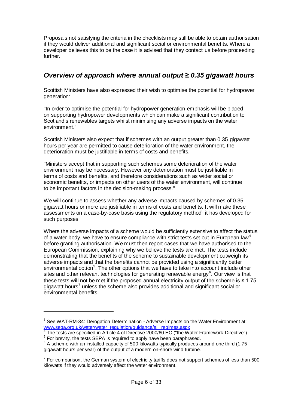Proposals not satisfying the criteria in the checklists may still be able to obtain authorisation if they would deliver additional and significant social or environmental benefits. Where a developer believes this to be the case it is advised that they contact us before proceeding further.

## <span id="page-6-0"></span>*Overview of approach where annual output ≥ 0.35 gigawatt hours*

Scottish Ministers have also expressed their wish to optimise the potential for hydropower generation:

"In order to optimise the potential for hydropower generation emphasis will be placed on supporting hydropower developments which can make a significant contribution to Scotland"s renewables targets whilst minimising any adverse impacts on the water environment."

Scottish Ministers also expect that if schemes with an output greater than 0.35 gigawatt hours per year are permitted to cause deterioration of the water environment, the deterioration must be justifiable in terms of costs and benefits.

"Ministers accept that in supporting such schemes some deterioration of the water environment may be necessary. However any deterioration must be justifiable in terms of costs and benefits, and therefore considerations such as wider social or economic benefits, or impacts on other users of the water environment, will continue to be important factors in the decision-making process."

We will continue to assess whether any adverse impacts caused by schemes of 0.35 gigawatt hours or more are justifiable in terms of costs and benefits. It will make these assessments on a case-by-case basis using the regulatory method $3$  it has developed for such purposes.

Where the adverse impacts of a scheme would be sufficiently extensive to affect the status of a water body, we have to ensure compliance with strict tests set out in European law<sup>4</sup> before granting authorisation. We must then report cases that we have authorised to the European Commission, explaining why we believe the tests are met. The tests include demonstrating that the benefits of the scheme to sustainable development outweigh its adverse impacts and that the benefits cannot be provided using a significantly better environmental option<sup>5</sup>. The other options that we have to take into account include other sites and other relevant technologies for generating renewable energy $6$ . Our view is that these tests will not be met if the proposed annual electricity output of the scheme is  $\leq 1.75$ gigawatt hours<sup>7</sup> unless the scheme also provides additional and significant social or environmental benefits.

<u>.</u>

<sup>&</sup>lt;sup>3</sup> See [WAT-RM-34: Derogation Determination -](http://www.sepa.org.uk/water/water_regulation/guidance/idoc.ashx?docid=227df479-5533-4eae-b587-5e1faa2edc33&version=-1) Adverse Impacts on the Water Environment at: [www.sepa.org.uk/water/water\\_regulation/guidance/all\\_regimes.aspx](file:///C:/Documents%20and%20Settings/simon.pattullo/Local%20Settings/simon.pattullo/Local%20Settings/Temporary%20Internet%20Files/Local%20Settings/Temporary%20Internet%20Files/OLK9/www.sepa.org.uk/water/water_regulation/guidance/all_regimes.aspx)<br><sup>4</sup> The tests are aposified in Article 4 of Directive 2000/60 FC ("the W

The tests are specified in Article 4 of Directive 2000/60 EC ("the Water Framework Directive"). <sup>5</sup> For brevity, the tests SEPA is required to apply have been paraphrased.

 $6$  A scheme with an installed capacity of 500 kilowatts typically produces around one third (1.75 gigawatt hours per year) of the output of a modern on-shore wind turbine.

 $7$  For comparison, the German system of electricity tariffs does not support schemes of less than 500 kilowatts if they would adversely affect the water environment.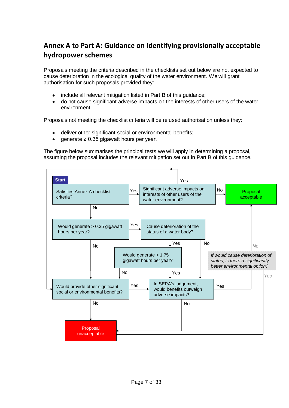# <span id="page-7-0"></span>**Annex A to Part A: Guidance on identifying provisionally acceptable hydropower schemes**

Proposals meeting the criteria described in the checklists set out below are not expected to cause deterioration in the ecological quality of the water environment. We will grant authorisation for such proposals provided they:

- include all relevant mitigation listed in Part B of this guidance;
- do not cause significant adverse impacts on the interests of other users of the water environment.

Proposals not meeting the checklist criteria will be refused authorisation unless they:

- deliver other significant social or environmental benefits;
- generate ≥ 0.35 gigawatt hours per year.

The figure below summarises the principal tests we will apply in determining a proposal, assuming the proposal includes the relevant mitigation set out in Part B of this guidance.

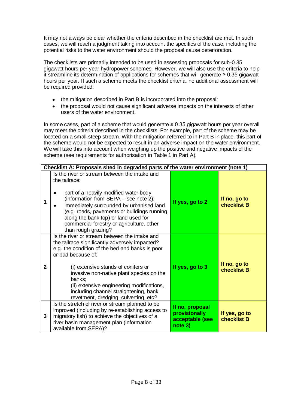It may not always be clear whether the criteria described in the checklist are met. In such cases, we will reach a judgment taking into account the specifics of the case, including the potential risks to the water environment should the proposal cause deterioration.

The checklists are primarily intended to be used in assessing proposals for sub-0.35 gigawatt hours per year hydropower schemes. However, we will also use the criteria to help it streamline its determination of applications for schemes that will generate ≥ 0.35 gigawatt hours per year. If such a scheme meets the checklist criteria, no additional assessment will be required provided:

- the mitigation described in Part B is incorporated into the proposal;  $\bullet$
- the proposal would not cause significant adverse impacts on the interests of other users of the water environment.

In some cases, part of a scheme that would generate ≥ 0.35 gigawatt hours per year overall may meet the criteria described in the checklists. For example, part of the scheme may be located on a small steep stream. With the mitigation referred to in Part B in place, this part of the scheme would not be expected to result in an adverse impact on the water environment. We will take this into account when weighing up the positive and negative impacts of the scheme (see requirements for authorisation in Table 1 in Part A).

|              | Checklist A: Proposals sited in degraded parts of the water environment (note 1)                                                                                                                                                                                                                                                                                                                     |                                                                |                              |
|--------------|------------------------------------------------------------------------------------------------------------------------------------------------------------------------------------------------------------------------------------------------------------------------------------------------------------------------------------------------------------------------------------------------------|----------------------------------------------------------------|------------------------------|
| 1            | Is the river or stream between the intake and<br>the tailrace:<br>part of a heavily modified water body<br>(information from SEPA - see note 2);<br>immediately surrounded by urbanised land<br>(e.g. roads, pavements or buildings running<br>along the bank top) or land used for<br>commercial forestry or agriculture, other<br>than rough grazing?                                              | If yes, go to 2                                                | If no, go to<br>checklist B  |
| $\mathbf{2}$ | Is the river or stream between the intake and<br>the tailrace significantly adversely impacted?<br>e.g. the condition of the bed and banks is poor<br>or bad because of:<br>(i) extensive stands of conifers or<br>invasive non-native plant species on the<br>banks;<br>(ii) extensive engineering modifications,<br>including channel straightening, bank<br>revetment, dredging, culverting, etc? | If yes, go to 3                                                | If no, go to<br>checklist B  |
| 3            | Is the stretch of river or stream planned to be<br>improved (including by re-establishing access to<br>migratory fish) to achieve the objectives of a<br>river basin management plan (information<br>available from SEPA)?                                                                                                                                                                           | If no, proposal<br>provisionally<br>acceptable (see<br>note 3) | If yes, go to<br>checklist B |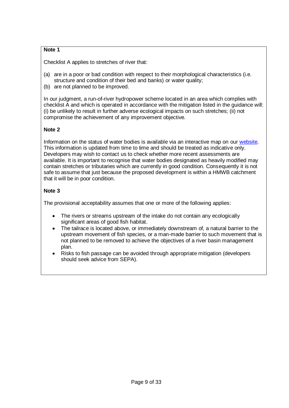## **Note 1**

Checklist A applies to stretches of river that:

- (a) are in a poor or bad condition with respect to their morphological characteristics (i.e. structure and condition of their bed and banks) or water quality;
- (b) are not planned to be improved.

In our judgment, a run-of-river hydropower scheme located in an area which complies with checklist A and which is operated in accordance with the mitigation listed in the guidance will: (i) be unlikely to result in further adverse ecological impacts on such stretches; (ii) not compromise the achievement of any improvement objective.

### **Note 2**

Information on the status of water bodies is available via an interactive map on our [website.](http://gis.sepa.org.uk/rbmp/) This information is updated from time to time and should be treated as indicative only. Developers may wish to contact us to check whether more recent assessments are available. It is important to recognise that water bodies designated as heavily modified may contain stretches or tributaries which are currently in good condition. Consequently it is not safe to assume that just because the proposed development is within a HMWB catchment that it will be in poor condition.

## **Note 3**

The provisional acceptability assumes that one or more of the following applies:

- The rivers or streams upstream of the intake do not contain any ecologically significant areas of good fish habitat.
- The tailrace is located above, or immediately downstream of, a natural barrier to the upstream movement of fish species, or a man-made barrier to such movement that is not planned to be removed to achieve the objectives of a river basin management plan.
- Risks to fish passage can be avoided through appropriate mitigation (developers should seek advice from SEPA).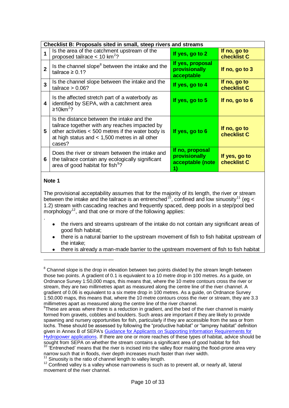| Checklist B: Proposals sited in small, steep rivers and streams |                                                                                                                                                                                                                  |                                                      |                              |
|-----------------------------------------------------------------|------------------------------------------------------------------------------------------------------------------------------------------------------------------------------------------------------------------|------------------------------------------------------|------------------------------|
| 1                                                               | Is the area of the catchment upstream of the<br>proposed tailrace $< 10$ km <sup>2</sup> ?                                                                                                                       | If yes, go to 2                                      | If no, go to<br>checklist C  |
| $\mathbf{2}$                                                    | Is the channel slope <sup>8</sup> between the intake and the<br>tailrace $\geq 0.1$ ?                                                                                                                            | If yes, proposal<br>provisionally<br>acceptable      | If no, go to 3               |
| 3                                                               | Is the channel slope between the intake and the<br>tailrace $> 0.06?$                                                                                                                                            | If yes, go to 4                                      | If no, go to<br>checklist C  |
| 4                                                               | Is the affected stretch part of a waterbody as<br>identified by SEPA, with a catchment area<br>$≥10$ km <sup>2</sup> ?                                                                                           | If yes, go to 5                                      | If no, go to 6               |
| 5                                                               | Is the distance between the intake and the<br>tailrace together with any reaches impacted by<br>other activities < 500 metres if the water body is<br>at high status and $< 1,500$ metres in all other<br>cases? | If yes, go to 6                                      | If no, go to<br>checklist C  |
| 6                                                               | Does the river or stream between the intake and<br>the tailrace contain any ecologically significant<br>area of good habitat for fish <sup>9</sup> ?                                                             | If no, proposal<br>provisionally<br>acceptable (note | If yes, go to<br>checklist C |

#### **Note 1**

.

 $\overline{a}$ 

The provisional acceptability assumes that for the majority of its length, the river or stream between the intake and the tailrace is an entrenched<sup>10</sup>, confined and low sinuosity<sup>11</sup> (eg < 1.2) stream with cascading reaches and frequently spaced, deep pools in a step/pool bed morphology<sup>12</sup>, and that one or more of the following applies:

- the rivers and streams upstream of the intake do not contain any significant areas of good fish habitat;
- there is a natural barrier to the upstream movement of fish to fish habitat upstream of the intake;
- there is already a man-made barrier to the upstream movement of fish to fish habitat

<sup>&</sup>lt;sup>8</sup> Channel slope is the drop in elevation between two points divided by the stream length between those two points. A gradient of 0.1 is equivalent to a 10 metre drop in 100 metres. As a guide, on Ordnance Survey 1:50,000 maps, this means that, where the 10 metre contours cross the river or stream, they are two millimetres apart as measured along the centre line of the river channel. A gradient of 0.06 is equivalent to a six metre drop in 100 metres. As a guide, on Ordnance Survey 1:50,000 maps, this means that, where the 10 metre contours cross the river or stream, they are 3.3 millimetres apart as measured along the centre line of the river channel.

 $9$ These are areas where there is a reduction in gradient, and the bed of the river channel is mainly formed from gravels, cobbles and boulders. Such areas are important if they are likely to provide spawning and nursery opportunities for fish, particularly if they are accessible from the sea or from lochs. These should be assessed by following the "productive habitat" or "lamprey habitat" definition given in Annex B of SEPA's [Guidance for Applicants on Supporting Information Requirements for](http://www.sepa.org.uk/water/idoc.ashx?docid=358677fe-61f7-4fc9-baab-79cb93671387&version=-1)  [Hydropower applications.](http://www.sepa.org.uk/water/idoc.ashx?docid=358677fe-61f7-4fc9-baab-79cb93671387&version=-1) If there are one or more reaches of these types of habitat, advice should be sought from SEPA on whether the stream contains a significant area of good habitat for fish

<sup>&</sup>lt;sup>10</sup> 'Entrenched' means that the river is incised into the valley floor making the flood-prone area very narrow such that in floods, river depth increases much faster than river width.

 $11$  Sinuosity is the ratio of channel length to valley length.

 $12$  Confined valley is a valley whose narrowness is such as to prevent all, or nearly all, lateral movement of the river channel.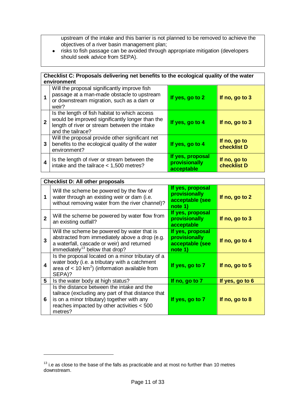upstream of the intake and this barrier is not planned to be removed to achieve the objectives of a river basin management plan;

risks to fish passage can be avoided through appropriate mitigation (developers  $\bullet$ should seek advice from SEPA).

|                         | Checklist C: Proposals delivering net benefits to the ecological quality of the water<br>environment                                                                  |                                                 |                             |
|-------------------------|-----------------------------------------------------------------------------------------------------------------------------------------------------------------------|-------------------------------------------------|-----------------------------|
| $\overline{\mathbf{1}}$ | Will the proposal significantly improve fish<br>passage at a man-made obstacle to upstream<br>or downstream migration, such as a dam or<br>weir?                      | If yes, go to 2                                 | If no, go to 3              |
| $\overline{2}$          | Is the length of fish habitat to which access<br>would be improved significantly longer than the<br>length of river or stream between the intake<br>and the tailrace? | If yes, go to 4                                 | If no, go to 3              |
| 3                       | Will the proposal provide other significant net<br>benefits to the ecological quality of the water<br>environment?                                                    | If yes, go to 4                                 | If no, go to<br>checklist D |
| 4                       | Is the length of river or stream between the<br>intake and the tailrace < 1,500 metres?                                                                               | If yes, proposal<br>provisionally<br>acceptable | If no, go to<br>checklist D |

|              | <b>Checklist D: All other proposals</b>                                                                                                                                                                 |                                                                 |                 |
|--------------|---------------------------------------------------------------------------------------------------------------------------------------------------------------------------------------------------------|-----------------------------------------------------------------|-----------------|
| 1            | Will the scheme be powered by the flow of<br>water through an existing weir or dam (i.e.<br>without removing water from the river channel)?                                                             | If yes, proposal<br>provisionally<br>acceptable (see<br>note 1) | If no, go to 2  |
| $\mathbf{2}$ | Will the scheme be powered by water flow from<br>an existing outfall?                                                                                                                                   | If yes, proposal<br>provisionally<br>acceptable                 | If no, go to 3  |
| 3            | Will the scheme be powered by water that is<br>abstracted from immediately above a drop (e.g.<br>a waterfall, cascade or weir) and returned<br>immediately <sup>13</sup> below that drop?               | If yes, proposal<br>provisionally<br>acceptable (see<br>note 1) | If no, go to 4  |
| 4            | Is the proposal located on a minor tributary of a<br>water body (i.e. a tributary with a catchment<br>area of $< 10 \text{ km}^2$ ) (information available from<br>SEPA)?                               | If yes, go to 7                                                 | If no, go to 5  |
| 5            | Is the water body at high status?                                                                                                                                                                       | If no, go to 7                                                  | If yes, go to 6 |
| 6            | Is the distance between the intake and the<br>tailrace (excluding any part of that distance that<br>is on a minor tributary) together with any<br>reaches impacted by other activities < 500<br>metres? | If yes, go to 7                                                 | If no, go to 8  |

<u>.</u>

 $13$  i.e as close to the base of the falls as practicable and at most no further than 10 metres downstream.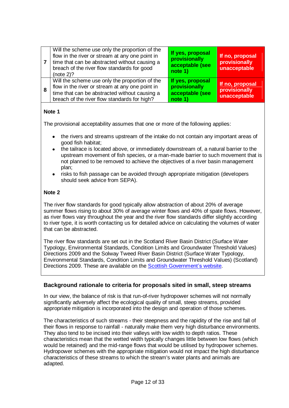|   | Will the scheme use only the proportion of the<br>flow in the river or stream at any one point in<br>time that can be abstracted without causing a<br>breach of the river flow standards for good<br>(note $2$ )? | If yes, proposal<br>provisionally<br>acceptable (see<br>note 1) | If no, proposal<br>provisionally<br>unacceptable |
|---|-------------------------------------------------------------------------------------------------------------------------------------------------------------------------------------------------------------------|-----------------------------------------------------------------|--------------------------------------------------|
| 8 | Will the scheme use only the proportion of the<br>flow in the river or stream at any one point in<br>time that can be abstracted without causing a<br>breach of the river flow standards for high?                | If yes, proposal<br>provisionally<br>acceptable (see<br>note 1) | If no, proposal<br>provisionally<br>unacceptable |

### **Note 1**

The provisional acceptability assumes that one or more of the following applies:

- the rivers and streams upstream of the intake do not contain any important areas of good fish habitat;
- the tailrace is located above, or immediately downstream of, a natural barrier to the upstream movement of fish species, or a man-made barrier to such movement that is not planned to be removed to achieve the objectives of a river basin management plan;
- risks to fish passage can be avoided through appropriate mitigation (developers should seek advice from SEPA).

#### **Note 2**

The river flow standards for good typically allow abstraction of about 20% of average summer flows rising to about 30% of average winter flows and 40% of spate flows. However, as river flows vary throughout the year and the river flow standards differ slightly according to river type, it is worth contacting us for detailed advice on calculating the volumes of water that can be abstracted.

The river flow standards are set out in the Scotland River Basin District (Surface Water Typology, Environmental Standards, Condition Limits and Groundwater Threshold Values) Directions 2009 and the Solway Tweed River Basin District (Surface Water Typology, Environmental Standards, Condition Limits and Groundwater Threshold Values) (Scotland) Directions 2009. These are available on the **Scottish Government's website**.

### **Background rationale to criteria for proposals sited in small, steep streams**

In our view, the balance of risk is that run-of-river hydropower schemes will not normally significantly adversely affect the ecological quality of small, steep streams, provided appropriate mitigation is incorporated into the design and operation of those schemes.

The characteristics of such streams - their steepness and the rapidity of the rise and fall of their flows in response to rainfall - naturally make them very high disturbance environments. They also tend to be incised into their valleys with low width to depth ratios. These characteristics mean that the wetted width typically changes little between low flows (which would be retained) and the mid-range flows that would be utilised by hydropower schemes. Hydropower schemes with the appropriate mitigation would not impact the high disturbance characteristics of these streams to which the stream's water plants and animals are adapted.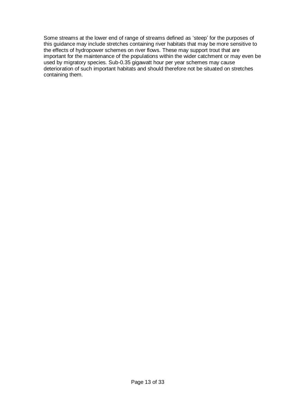Some streams at the lower end of range of streams defined as "steep" for the purposes of this guidance may include stretches containing river habitats that may be more sensitive to the effects of hydropower schemes on river flows. These may support trout that are important for the maintenance of the populations within the wider catchment or may even be used by migratory species. Sub-0.35 gigawatt hour per year schemes may cause deterioration of such important habitats and should therefore not be situated on stretches containing them.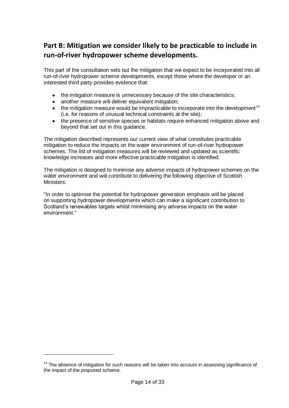# <span id="page-14-0"></span>**Part B: Mitigation we consider likely to be practicable to include in run-of-river hydropower scheme developments.**

This part of the consultation sets out the mitigation that we expect to be incorporated into all run-of-river hydropower scheme developments, except those where the developer or an interested third party provides evidence that:

- the mitigation measure is unnecessary because of the site characteristics;  $\bullet$
- another measure will deliver equivalent mitigation;
- $\bullet$  the mitigation measure would be impracticable to incorporate into the development<sup>14</sup> (i.e. for reasons of unusual technical constraints at the site);
- the presence of sensitive species or habitats require enhanced mitigation above and beyond that set out in this guidance.

The mitigation described represents our current view of what constitutes practicable mitigation to reduce the impacts on the water environment of run-of-river hydropower schemes. The list of mitigation measures will be reviewed and updated as scientific knowledge increases and more effective practicable mitigation is identified.

The mitigation is designed to minimise any adverse impacts of hydropower schemes on the water environment and will contribute to delivering the following objective of Scottish Ministers:

"In order to optimise the potential for hydropower generation emphasis will be placed on supporting hydropower developments which can make a significant contribution to Scotland"s renewables targets whilst minimising any adverse impacts on the water environment."

<u>.</u>

<sup>&</sup>lt;sup>14</sup> The absence of mitigation for such reasons will be taken into account in assessing significance of the impact of the proposed scheme.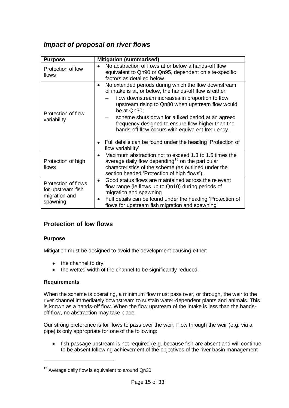## <span id="page-15-0"></span>*Impact of proposal on river flows*

| <b>Purpose</b>                                                        | <b>Mitigation (summarised)</b>                                                                                                                                                                                                                                                                                                                                                                                                                                                                         |  |  |
|-----------------------------------------------------------------------|--------------------------------------------------------------------------------------------------------------------------------------------------------------------------------------------------------------------------------------------------------------------------------------------------------------------------------------------------------------------------------------------------------------------------------------------------------------------------------------------------------|--|--|
| Protection of low<br>flows                                            | No abstraction of flows at or below a hands-off flow<br>equivalent to Qn90 or Qn95, dependent on site-specific<br>factors as detailed below.                                                                                                                                                                                                                                                                                                                                                           |  |  |
| Protection of flow<br>variability                                     | No extended periods during which the flow downstream<br>$\bullet$<br>of intake is at, or below, the hands-off flow is either:<br>flow downstream increases in proportion to flow<br>upstream rising to Qn80 when upstream flow would<br>be at Qn30;<br>scheme shuts down for a fixed period at an agreed<br>frequency designed to ensure flow higher than the<br>hands-off flow occurs with equivalent frequency.<br>• Full details can be found under the heading 'Protection of<br>flow variability' |  |  |
| Protection of high<br>flows                                           | Maximum abstraction not to exceed 1.3 to 1.5 times the<br>$\bullet$<br>average daily flow depending <sup>15</sup> on the particular<br>characteristics of the scheme (as outlined under the<br>section headed 'Protection of high flows').                                                                                                                                                                                                                                                             |  |  |
| Protection of flows<br>for upstream fish<br>migration and<br>spawning | Good status flows are maintained across the relevant<br>$\bullet$<br>flow range (ie flows up to Qn10) during periods of<br>migration and spawning.<br>Full details can be found under the heading 'Protection of<br>٠<br>flows for upstream fish migration and spawning'                                                                                                                                                                                                                               |  |  |

## <span id="page-15-1"></span>**Protection of low flows**

### **Purpose**

Mitigation must be designed to avoid the development causing either:

- the channel to dry;
- the wetted width of the channel to be significantly reduced.

### **Requirements**

1

When the scheme is operating, a minimum flow must pass over, or through, the weir to the river channel immediately downstream to sustain water-dependent plants and animals. This is known as a hands-off flow. When the flow upstream of the intake is less than the handsoff flow, no abstraction may take place.

Our strong preference is for flows to pass over the weir. Flow through the weir (e.g. via a pipe) is only appropriate for one of the following:

• fish passage upstream is not required (e.g. because fish are absent and will continue to be absent following achievement of the objectives of the river basin management

<sup>&</sup>lt;sup>15</sup> Average daily flow is equivalent to around Qn30.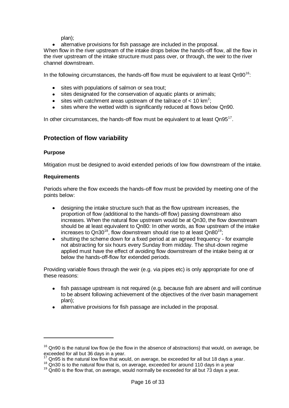plan);

alternative provisions for fish passage are included in the proposal.

When flow in the river upstream of the intake drops below the hands-off flow, all the flow in the river upstream of the intake structure must pass over, or through, the weir to the river channel downstream.

In the following circumstances, the hands-off flow must be equivalent to at least  $Qn90^{16}$ .

- sites with populations of salmon or sea trout;
- $\bullet$ sites designated for the conservation of aquatic plants or animals;
- sites with catchment areas upstream of the tailrace of  $< 10$  km<sup>2</sup>;
- sites where the wetted width is significantly reduced at flows below Qn90.

In other circumstances, the hands-off flow must be equivalent to at least  $Qn95^{17}$ .

## <span id="page-16-0"></span>**Protection of flow variability**

#### **Purpose**

1

Mitigation must be designed to avoid extended periods of low flow downstream of the intake.

#### **Requirements**

Periods where the flow exceeds the hands-off flow must be provided by meeting one of the points below:

- designing the intake structure such that as the flow upstream increases, the proportion of flow (additional to the hands-off flow) passing downstream also increases. When the natural flow upstream would be at Qn30, the flow downstream should be at least equivalent to Qn80: In other words, as flow upstream of the intake increases to  $Qn30^{18}$ , flow downstream should rise to at least  $Qn80^{19}$ ;
- shutting the scheme down for a fixed period at an agreed frequency for example not abstracting for six hours every Sunday from midday. The shut-down regime applied must have the effect of avoiding flow downstream of the intake being at or below the hands-off-flow for extended periods.

Providing variable flows through the weir (e.g. via pipes etc) is only appropriate for one of these reasons:

- fish passage upstream is not required (e.g. because fish are absent and will continue to be absent following achievement of the objectives of the river basin management plan);
- alternative provisions for fish passage are included in the proposal.

 $16$  Qn90 is the natural low flow (ie the flow in the absence of abstractions) that would, on average, be exceeded for all but 36 days in a year.

 $<sup>7</sup>$  Qn95 is the natural low flow that would, on average, be exceeded for all but 18 davs a vear.</sup>

<sup>&</sup>lt;sup>18</sup> Qn30 is to the natural flow that is, on average, exceeded for around 110 days in a year

 $19$  Qn80 is the flow that, on average, would normally be exceeded for all but 73 days a year.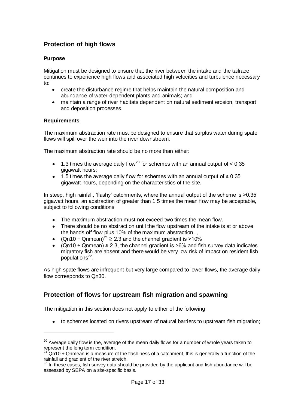## <span id="page-17-0"></span>**Protection of high flows**

#### **Purpose**

Mitigation must be designed to ensure that the river between the intake and the tailrace continues to experience high flows and associated high velocities and turbulence necessary to:

- create the disturbance regime that helps maintain the natural composition and abundance of water-dependent plants and animals; and
- $\bullet$ maintain a range of river habitats dependent on natural sediment erosion, transport and deposition processes.

#### **Requirements**

<u>.</u>

The maximum abstraction rate must be designed to ensure that surplus water during spate flows will spill over the weir into the river downstream.

The maximum abstraction rate should be no more than either:

- 1.3 times the average daily flow<sup>20</sup> for schemes with an annual output of  $< 0.35$ gigawatt hours;
- 1.5 times the average daily flow for schemes with an annual output of ≥ 0.35 gigawatt hours, depending on the characteristics of the site.

In steep, high rainfall, "flashy" catchments, where the annual output of the scheme is >0.35 gigawatt hours, an abstraction of greater than 1.5 times the mean flow may be acceptable, subject to following conditions:

- The maximum abstraction must not exceed two times the mean flow.
- There should be no abstraction until the flow upstream of the intake is at or above the hands off flow plus 10% of the maximum abstraction. ,
- (Qn10 ÷ Qnmean)<sup>21</sup>  $\geq$  2.3 and the channel gradient is  $>$ 10%.
- $(Qn10 \div Qn) \geq 2.3$ , the channel gradient is >6% and fish survey data indicates migratory fish are absent and there would be very low risk of impact on resident fish populations<sup>22</sup>.

As high spate flows are infrequent but very large compared to lower flows, the average daily flow corresponds to Qn30.

## <span id="page-17-1"></span>**Protection of flows for upstream fish migration and spawning**

The mitigation in this section does not apply to either of the following:

• to schemes located on rivers upstream of natural barriers to upstream fish migration;

 $20$  Average daily flow is the, average of the mean daily flows for a number of whole years taken to represent the long term condition.

 $Q$ n10 ÷ Qnmean is a measure of the flashiness of a catchment, this is generally a function of the rainfall and gradient of the river stretch.

<sup>&</sup>lt;sup>22</sup> In these cases, fish survey data should be provided by the applicant and fish abundance will be assessed by SEPA on a site-specific basis.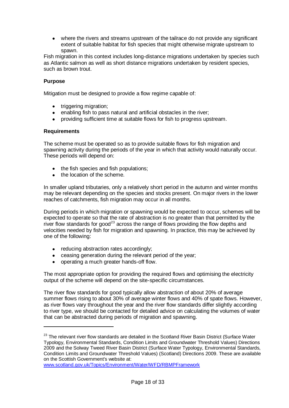where the rivers and streams upstream of the tailrace do not provide any significant extent of suitable habitat for fish species that might otherwise migrate upstream to spawn.

Fish migration in this context includes long-distance migrations undertaken by species such as Atlantic salmon as well as short distance migrations undertaken by resident species, such as brown trout.

#### **Purpose**

Mitigation must be designed to provide a flow regime capable of:

- triggering migration;
- enabling fish to pass natural and artificial obstacles in the river;
- providing sufficient time at suitable flows for fish to progress upstream.

#### **Requirements**

<u>.</u>

The scheme must be operated so as to provide suitable flows for fish migration and spawning activity during the periods of the year in which that activity would naturally occur. These periods will depend on:

- the fish species and fish populations;
- the location of the scheme.

In smaller upland tributaries, only a relatively short period in the autumn and winter months may be relevant depending on the species and stocks present. On major rivers in the lower reaches of catchments, fish migration may occur in all months.

During periods in which migration or spawning would be expected to occur, schemes will be expected to operate so that the rate of abstraction is no greater than that permitted by the river flow standards for good<sup>23</sup> across the range of flows providing the flow depths and velocities needed by fish for migration and spawning. In practice, this may be achieved by one of the following:

- reducing abstraction rates accordingly;
- ceasing generation during the relevant period of the year;
- operating a much greater hands-off flow.

The most appropriate option for providing the required flows and optimising the electricity output of the scheme will depend on the site-specific circumstances.

The river flow standards for good typically allow abstraction of about 20% of average summer flows rising to about 30% of average winter flows and 40% of spate flows. However, as river flows vary throughout the year and the river flow standards differ slightly according to river type, we should be contacted for detailed advice on calculating the volumes of water that can be abstracted during periods of migration and spawning.

<sup>&</sup>lt;sup>23</sup> The relevant river flow standards are detailed in the Scotland River Basin District (Surface Water Typology, Environmental Standards, Condition Limits and Groundwater Threshold Values) Directions 2009 and the Solway Tweed River Basin District (Surface Water Typology, Environmental Standards, Condition Limits and Groundwater Threshold Values) (Scotland) Directions 2009. These are available on the Scottish Government's website at:

[www.scotland.gov.uk/Topics/Environment/Water/WFD/RBMPFramework](file:///C:/Documents%20and%20Settings/simon.pattullo/Local%20Settings/simon.pattullo/Local%20Settings/Temporary%20Internet%20Files/OLK9/www.scotland.gov.uk/Topics/Environment/Water/WFD/RBMPFramework)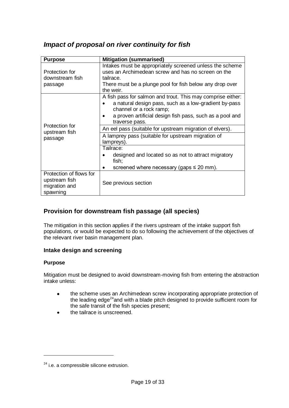## <span id="page-19-0"></span>*Impact of proposal on river continuity for fish*

| <b>Purpose</b>                                                                                | <b>Mitigation (summarised)</b>                                                                                                                                                                                                |  |  |
|-----------------------------------------------------------------------------------------------|-------------------------------------------------------------------------------------------------------------------------------------------------------------------------------------------------------------------------------|--|--|
| Protection for<br>downstream fish<br>passage                                                  | Intakes must be appropriately screened unless the scheme<br>uses an Archimedean screw and has no screen on the<br>tailrace.<br>There must be a plunge pool for fish below any drop over<br>the weir.                          |  |  |
| Protection for<br>upstream fish<br>passage                                                    | A fish pass for salmon and trout. This may comprise either:<br>a natural design pass, such as a low-gradient by-pass<br>channel or a rock ramp;<br>a proven artificial design fish pass, such as a pool and<br>traverse pass. |  |  |
|                                                                                               | An eel pass (suitable for upstream migration of elvers).<br>A lamprey pass (suitable for upstream migration of                                                                                                                |  |  |
|                                                                                               | lampreys).<br>Tailrace:<br>designed and located so as not to attract migratory<br>fish;<br>screened where necessary (gaps $\leq$ 20 mm).                                                                                      |  |  |
| Protection of flows for<br>upstream fish<br>See previous section<br>migration and<br>spawning |                                                                                                                                                                                                                               |  |  |

## <span id="page-19-1"></span>**Provision for downstream fish passage (all species)**

The mitigation in this section applies if the rivers upstream of the intake support fish populations, or would be expected to do so following the achievement of the objectives of the relevant river basin management plan.

## **Intake design and screening**

### **Purpose**

1

Mitigation must be designed to avoid downstream-moving fish from entering the abstraction intake unless:

- the scheme uses an Archimedean screw incorporating appropriate protection of  $\bullet$ the leading edge<sup>24</sup> and with a blade pitch designed to provide sufficient room for the safe transit of the fish species present;
- the tailrace is unscreened.

<sup>&</sup>lt;sup>24</sup> i.e. a compressible silicone extrusion.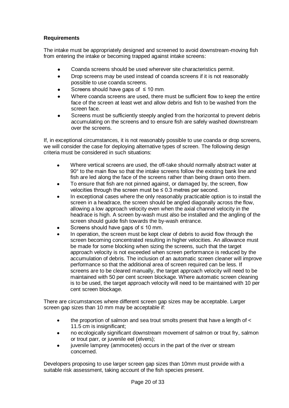## **Requirements**

The intake must be appropriately designed and screened to avoid downstream-moving fish from entering the intake or becoming trapped against intake screens:

- Coanda screens should be used wherever site characteristics permit.  $\bullet$
- $\bullet$ Drop screens may be used instead of coanda screens if it is not reasonably possible to use coanda screens.
- Screens should have gaps of  $\leq 10$  mm.
- Where coanda screens are used, there must be sufficient flow to keep the entire face of the screen at least wet and allow debris and fish to be washed from the screen face.
- Screens must be sufficiently steeply angled from the horizontal to prevent debris accumulating on the screens and to ensure fish are safely washed downstream over the screens.

If, in exceptional circumstances, it is not reasonably possible to use coanda or drop screens, we will consider the case for deploying alternative types of screen. The following design criteria must be considered in such situations:

- Where vertical screens are used, the off-take should normally abstract water at  $\bullet$ 90° to the main flow so that the intake screens follow the existing bank line and fish are led along the face of the screens rather than being drawn onto them.
- To ensure that fish are not pinned against, or damaged by, the screen, flow velocities through the screen must be  $\leq 0.3$  metres per second.
- In exceptional cases where the only reasonably practicable option is to install the screen in a headrace, the screen should be angled diagonally across the flow, allowing a low approach velocity even when the axial channel velocity in the headrace is high. A screen by-wash must also be installed and the angling of the screen should guide fish towards the by-wash entrance.
- Screens should have gaps of  $\leq 10$  mm.
- In operation, the screen must be kept clear of debris to avoid flow through the screen becoming concentrated resulting in higher velocities. An allowance must be made for some blocking when sizing the screens, such that the target approach velocity is not exceeded when screen performance is reduced by the accumulation of debris. The inclusion of an automatic screen cleaner will improve performance so that the additional area of screen required can be less. If screens are to be cleared manually, the target approach velocity will need to be maintained with 50 per cent screen blockage. Where automatic screen cleaning is to be used, the target approach velocity will need to be maintained with 10 per cent screen blockage.

There are circumstances where different screen gap sizes may be acceptable. Larger screen gap sizes than 10 mm may be acceptable if:

- the proportion of salmon and sea trout smolts present that have a length of <  $\bullet$ 11.5 cm is insignificant;
- no ecologically significant downstream movement of salmon or trout fry, salmon  $\bullet$ or trout parr, or juvenile eel (elvers);
- juvenile lamprey (ammocetes) occurs in the part of the river or stream concerned.

Developers proposing to use larger screen gap sizes than 10mm must provide with a suitable risk assessment, taking account of the fish species present.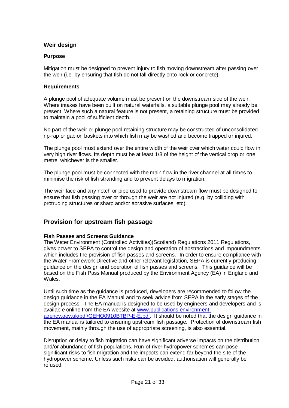#### **Weir design**

#### **Purpose**

Mitigation must be designed to prevent injury to fish moving downstream after passing over the weir (i.e. by ensuring that fish do not fall directly onto rock or concrete).

#### **Requirements**

A plunge pool of adequate volume must be present on the downstream side of the weir. Where intakes have been built on natural waterfalls, a suitable plunge pool may already be present. Where such a natural feature is not present, a retaining structure must be provided to maintain a pool of sufficient depth.

No part of the weir or plunge pool retaining structure may be constructed of unconsolidated rip-rap or gabion baskets into which fish may be washed and become trapped or injured.

The plunge pool must extend over the entire width of the weir over which water could flow in very high river flows. Its depth must be at least 1/3 of the height of the vertical drop or one metre, whichever is the smaller.

The plunge pool must be connected with the main flow in the river channel at all times to minimise the risk of fish stranding and to prevent delays to migration.

The weir face and any notch or pipe used to provide downstream flow must be designed to ensure that fish passing over or through the weir are not injured (e.g. by colliding with protruding structures or sharp and/or abrasive surfaces, etc).

## <span id="page-21-0"></span>**Provision for upstream fish passage**

#### **Fish Passes and Screens Guidance**

The Water Environment (Controlled Activities)(Scotland) Regulations 2011 Regulations, gives power to SEPA to control the design and operation of abstractions and impoundments which includes the provision of fish passes and screens. In order to ensure compliance with the Water Framework Directive and other relevant legislation, SEPA is currently producing guidance on the design and operation of fish passes and screens. This guidance will be based on the Fish Pass Manual produced by the Environment Agency (EA) in England and Wales.

Until such time as the guidance is produced, developers are recommended to follow the design guidance in the EA Manual and to seek advice from SEPA in the early stages of the design process. The EA manual is designed to be used by engineers and developers and is available online from the EA website at [www.publications.environment](http://publications.environment-agency.gov.uk/pdf/GEHO0910BTBP-E-E.pdf)[agency.gov.uk/pdf/GEHO0910BTBP-E-E.pdf.](http://publications.environment-agency.gov.uk/pdf/GEHO0910BTBP-E-E.pdf) It should be noted that the design guidance in the EA manual is tailored to ensuring upstream fish passage. Protection of downstream fish movement, mainly through the use of appropriate screening, is also essential.

Disruption or delay to fish migration can have significant adverse impacts on the distribution and/or abundance of fish populations. Run-of-river hydropower schemes can pose significant risks to fish migration and the impacts can extend far beyond the site of the hydropower scheme. Unless such risks can be avoided, authorisation will generally be refused.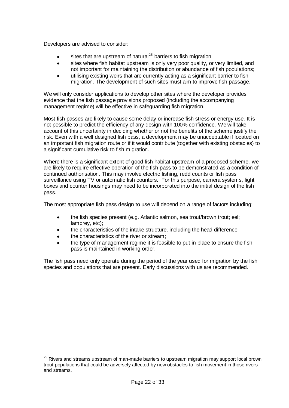Developers are advised to consider:

- sites that are upstream of natural<sup>25</sup> barriers to fish migration;  $\bullet$
- sites where fish habitat upstream is only very poor quality, or very limited, and  $\bullet$ not important for maintaining the distribution or abundance of fish populations;
- utilising existing weirs that are currently acting as a significant barrier to fish  $\bullet$ migration. The development of such sites must aim to improve fish passage.

We will only consider applications to develop other sites where the developer provides evidence that the fish passage provisions proposed (including the accompanying management regime) will be effective in safeguarding fish migration.

Most fish passes are likely to cause some delay or increase fish stress or energy use. It is not possible to predict the efficiency of any design with 100% confidence. We will take account of this uncertainty in deciding whether or not the benefits of the scheme justify the risk. Even with a well designed fish pass, a development may be unacceptable if located on an important fish migration route or if it would contribute (together with existing obstacles) to a significant cumulative risk to fish migration.

Where there is a significant extent of good fish habitat upstream of a proposed scheme, we are likely to require effective operation of the fish pass to be demonstrated as a condition of continued authorisation. This may involve electric fishing, redd counts or fish pass surveillance using TV or automatic fish counters. For this purpose, camera systems, light boxes and counter housings may need to be incorporated into the initial design of the fish pass.

The most appropriate fish pass design to use will depend on a range of factors including:

- the fish species present (e.g. Atlantic salmon, sea trout/brown trout; eel;  $\bullet$ lamprey, etc);
- the characteristics of the intake structure, including the head difference;
- the characteristics of the river or stream;

<u>.</u>

the type of management regime it is feasible to put in place to ensure the fish pass is maintained in working order.

The fish pass need only operate during the period of the year used for migration by the fish species and populations that are present. Early discussions with us are recommended.

<sup>&</sup>lt;sup>25</sup> Rivers and streams upstream of man-made barriers to upstream migration may support local brown trout populations that could be adversely affected by new obstacles to fish movement in those rivers and streams.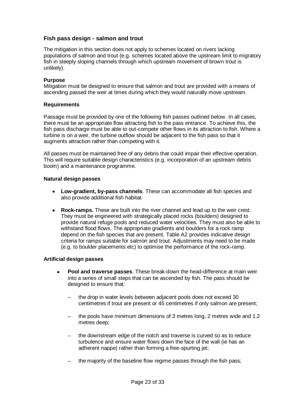### **Fish pass design - salmon and trout**

The mitigation in this section does not apply to schemes located on rivers lacking populations of salmon and trout (e.g. schemes located above the upstream limit to migratory fish in steeply sloping channels through which upstream movement of brown trout is unlikely).

#### **Purpose**

Mitigation must be designed to ensure that salmon and trout are provided with a means of ascending passed the weir at times during which they would naturally move upstream.

#### **Requirements**

Passage must be provided by one of the following fish passes outlined below. In all cases, there must be an appropriate flow attracting fish to the pass entrance. To achieve this, the fish pass discharge must be able to out-compete other flows in its attraction to fish. Where a turbine is on a weir, the turbine outflow should be adjacent to the fish pass so that it augments attraction rather than competing with it.

All passes must be maintained free of any debris that could impair their effective operation. This will require suitable design characteristics (e.g. incorporation of an upstream debris boom) and a maintenance programme.

#### **Natural design passes**

- **Low-gradient, by-pass channels**. These can accommodate all fish species and also provide additional fish habitat.
- $\bullet$ **Rock-ramps.** These are built into the river channel and lead up to the weir crest. They must be engineered with strategically placed rocks (boulders) designed to provide natural refuge pools and reduced water velocities. They must also be able to withstand flood flows. The appropriate gradients and boulders for a rock ramp depend on the fish species that are present. Table A2 provides indicative design criteria for ramps suitable for salmon and trout. Adjustments may need to be made (e.g. to boulder placements etc) to optimise the performance of the rock-ramp.

#### **Artificial design passes**

- **Pool and traverse passes**. These break-down the head-difference at main weir into a series of small steps that can be ascended by fish. The pass should be designed to ensure that:
	- the drop in water levels between adjacent pools does not exceed 30 centimetres if trout are present or 45 centimetres if only salmon are present;
	- the pools have minimum dimensions of 3 metres long, 2 metres wide and 1.2  $$ metres deep;
	- the downstream edge of the notch and traverse is curved so as to reduce  $\,$ turbulence and ensure water flows down the face of the wall (ie has an adherent nappe) rather than forming a free-spurting jet;
	- the majority of the baseline flow regime passes through the fish pass;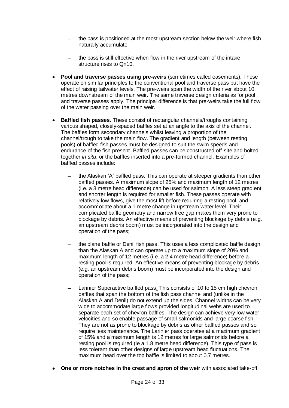- the pass is positioned at the most upstream section below the weir where fish naturally accumulate;
- the pass is still effective when flow in the river upstream of the intake structure rises to Qn10.
- **Pool and traverse passes using pre-weirs** (sometimes called easements). These operate on similar principles to the conventional pool and traverse pass but have the effect of raising tailwater levels. The pre-weirs span the width of the river about 10 metres downstream of the main weir. The same traverse design criteria as for pool and traverse passes apply. The principal difference is that pre-weirs take the full flow of the water passing over the main weir.
- **Baffled fish passes**. These consist of rectangular channels/troughs containing various shaped, closely-spaced baffles set at an angle to the axis of the channel. The baffles form secondary channels whilst leaving a proportion of the channel/trough to take the main flow. The gradient and length (between resting pools) of baffled fish passes must be designed to suit the swim speeds and endurance of the fish present. Baffled passes can be constructed off-site and bolted together *in situ*, or the baffles inserted into a pre-formed channel. Examples of baffled passes include:
	- the Alaskan "A" baffled pass. This can operate at steeper gradients than other baffled passes. A maximum slope of 25% and maximum length of 12 metres (i.e. a 3 metre head difference) can be used for salmon. A less steep gradient and shorter length is required for smaller fish. These passes operate with relatively low flows, give the most lift before requiring a resting pool, and accommodate about a 1 metre change in upstream water level. Their complicated baffle geometry and narrow free gap makes them very prone to blockage by debris. An effective means of preventing blockage by debris (e.g. an upstream debris boom) must be incorporated into the design and operation of the pass;
	- the plane baffle or Denil fish pass. This uses a less complicated baffle design than the Alaskan A and can operate up to a maximum slope of 20% and maximum length of 12 metres (i.e. a 2.4 metre head difference) before a resting pool is required. An effective means of preventing blockage by debris (e.g. an upstream debris boom) must be incorporated into the design and operation of the pass;
	- Larinier Superactive baffled pass. This consists of 10 to 15 cm high chevron baffles that span the bottom of the fish pass channel and (unlike in the Alaskan A and Denil) do not extend up the sides. Channel widths can be very wide to accommodate large flows provided longitudinal webs are used to separate each set of chevron baffles. The design can achieve very low water velocities and so enable passage of small salmonids and large coarse fish. They are not as prone to blockage by debris as other baffled passes and so require less maintenance. The Larinier pass operates at a maximum gradient of 15% and a maximum length is 12 metres for large salmonids before a resting pool is required (ie a 1.8 metre head difference). This type of pass is less tolerant than other designs of large upstream head fluctuations. The maximum head over the top baffle is limited to about 0.7 metres.
- **One or more notches in the crest and apron of the weir** with associated take-off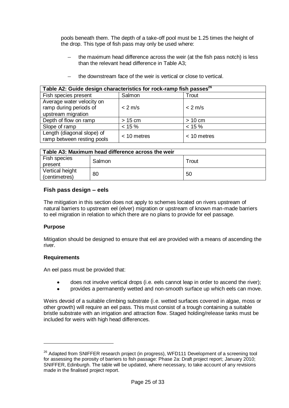pools beneath them. The depth of a take-off pool must be 1.25 times the height of the drop. This type of fish pass may only be used where:

- the maximum head difference across the weir (at the fish pass notch) is less than the relevant head difference in Table A3;
- the downstream face of the weir is vertical or close to vertical.

| Table A2: Guide design characteristics for rock-ramp fish passes <sup>26</sup> |               |               |
|--------------------------------------------------------------------------------|---------------|---------------|
| Fish species present                                                           | Salmon        | Trout         |
| Average water velocity on                                                      |               |               |
| ramp during periods of                                                         | $< 2$ m/s     | $< 2$ m/s     |
| upstream migration                                                             |               |               |
| Depth of flow on ramp                                                          | $> 15$ cm     | $> 10$ cm     |
| Slope of ramp                                                                  | $< 15 \%$     | $< 15 \%$     |
| Length (diagonal slope) of<br>ramp between resting pools                       | $< 10$ metres | $<$ 10 metres |

| Table A3: Maximum head difference across the weir |        |       |
|---------------------------------------------------|--------|-------|
| Fish species<br>present                           | Salmon | Trout |
| Vertical height<br>(centimetres)                  | 80     | 50    |

#### **Fish pass design – eels**

The mitigation in this section does not apply to schemes located on rivers upstream of natural barriers to upstream eel (elver) migration or upstream of known man-made barriers to eel migration in relation to which there are no plans to provide for eel passage.

#### **Purpose**

1

Mitigation should be designed to ensure that eel are provided with a means of ascending the river.

#### **Requirements**

An eel pass must be provided that:

- does not involve vertical drops (i.e. eels cannot leap in order to ascend the river);  $\bullet$
- provides a permanently wetted and non-smooth surface up which eels can move.

Weirs devoid of a suitable climbing substrate (i.e. wetted surfaces covered in algae, moss or other growth) will require an eel pass. This must consist of a trough containing a suitable bristle substrate with an irrigation and attraction flow. Staged holding/release tanks must be included for weirs with high head differences.

<sup>&</sup>lt;sup>26</sup> Adapted from SNIFFER research project (in progress), WFD111 Development of a screening tool for assessing the porosity of barriers to fish passage: Phase 2a: Draft project report; January 2010; SNIFFER, Edinburgh. The table will be updated, where necessary, to take account of any revisions made in the finalised project report.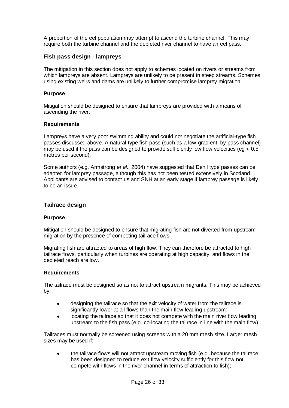A proportion of the eel population may attempt to ascend the turbine channel. This may require both the turbine channel and the depleted river channel to have an eel pass.

#### **Fish pass design - lampreys**

The mitigation in this section does not apply to schemes located on rivers or streams from which lampreys are absent. Lampreys are unlikely to be present in steep streams. Schemes using existing weirs and dams are unlikely to further compromise lamprey migration.

#### **Purpose**

Mitigation should be designed to ensure that lampreys are provided with a means of ascending the river.

#### **Requirements**

Lampreys have a very poor swimming ability and could not negotiate the artificial-type fish passes discussed above. A natural-type fish pass (such as a low-gradient, by-pass channel) may be used if the pass can be designed to provide sufficiently low flow velocities (eq  $< 0.5$ ) metres per second).

Some authors (e.g. Armstrong *et al.*, 2004) have suggested that Denil type passes can be adapted for lamprey passage, although this has not been tested extensively in Scotland. Applicants are advised to contact us and SNH at an early stage if lamprey passage is likely to be an issue.

#### **Tailrace design**

#### **Purpose**

Mitigation should be designed to ensure that migrating fish are not diverted from upstream migration by the presence of competing tailrace flows.

Migrating fish are attracted to areas of high flow. They can therefore be attracted to high tailrace flows, particularly when turbines are operating at high capacity, and flows in the depleted reach are low.

#### **Requirements**

The tailrace must be designed so as not to attract upstream migrants. This may be achieved by:

- $\bullet$ designing the tailrace so that the exit velocity of water from the tailrace is significantly lower at all flows than the main flow leading upstream;
- locating the tailrace so that it does not compete with the main river flow leading  $\bullet$ upstream to the fish pass (e.g. co-locating the tailrace in line with the main flow).

Tailraces must normally be screened using screens with a 20 mm mesh size. Larger mesh sizes may be used if:

the tailrace flows will not attract upstream moving fish (e.g. because the tailrace has been designed to reduce exit flow velocity sufficiently for this flow not compete with flows in the river channel in terms of attraction to fish);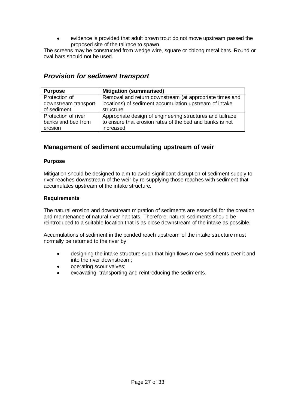evidence is provided that adult brown trout do not move upstream passed the proposed site of the tailrace to spawn.

The screens may be constructed from wedge wire, square or oblong metal bars. Round or oval bars should not be used.

## <span id="page-27-0"></span>*Provision for sediment transport*

| <b>Purpose</b>       | <b>Mitigation (summarised)</b>                            |
|----------------------|-----------------------------------------------------------|
| Protection of        | Removal and return downstream (at appropriate times and   |
| downstream transport | locations) of sediment accumulation upstream of intake    |
| of sediment          | structure                                                 |
| Protection of river  | Appropriate design of engineering structures and tailrace |
| banks and bed from   | to ensure that erosion rates of the bed and banks is not  |
| erosion              | increased                                                 |

## <span id="page-27-1"></span>**Management of sediment accumulating upstream of weir**

#### **Purpose**

Mitigation should be designed to aim to avoid significant disruption of sediment supply to river reaches downstream of the weir by re-supplying those reaches with sediment that accumulates upstream of the intake structure.

#### **Requirements**

The natural erosion and downstream migration of sediments are essential for the creation and maintenance of natural river habitats. Therefore, natural sediments should be reintroduced to a suitable location that is as close downstream of the intake as possible.

Accumulations of sediment in the ponded reach upstream of the intake structure must normally be returned to the river by:

- designing the intake structure such that high flows move sediments over it and  $\bullet$ into the river downstream;
- operating scour valves;
- excavating, transporting and reintroducing the sediments.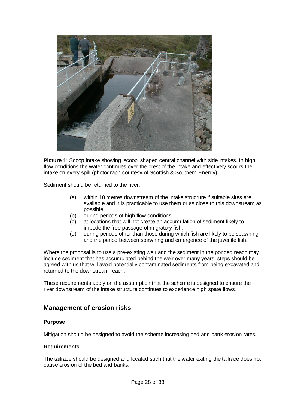

**Picture 1**: Scoop intake showing 'scoop' shaped central channel with side intakes. In high flow conditions the water continues over the crest of the intake and effectively scours the intake on every spill (photograph courtesy of Scottish & Southern Energy).

Sediment should be returned to the river:

- (a) within 10 metres downstream of the intake structure if suitable sites are available and it is practicable to use them or as close to this downstream as possible;
- (b) during periods of high flow conditions;
- (c) at locations that will not create an accumulation of sediment likely to impede the free passage of migratory fish;
- (d) during periods other than those during which fish are likely to be spawning and the period between spawning and emergence of the juvenile fish.

Where the proposal is to use a pre-existing weir and the sediment in the ponded reach may include sediment that has accumulated behind the weir over many years, steps should be agreed with us that will avoid potentially contaminated sediments from being excavated and returned to the downstream reach.

These requirements apply on the assumption that the scheme is designed to ensure the river downstream of the intake structure continues to experience high spate flows.

### <span id="page-28-0"></span>**Management of erosion risks**

#### **Purpose**

Mitigation should be designed to avoid the scheme increasing bed and bank erosion rates.

#### **Requirements**

The tailrace should be designed and located such that the water exiting the tailrace does not cause erosion of the bed and banks.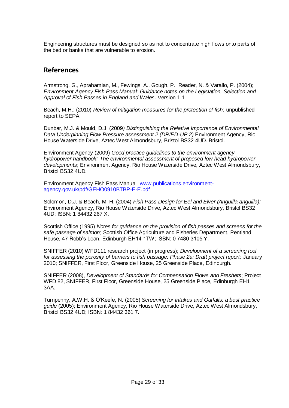Engineering structures must be designed so as not to concentrate high flows onto parts of the bed or banks that are vulnerable to erosion.

## <span id="page-29-0"></span>**References**

Armstrong, G., Aprahamian, M., Fewings, A., Gough, P., Reader, N. & Varallo, P. (2004); *Environment Agency Fish Pass Manual: Guidance notes on the Legislation, Selection and Approval of Fish Passes in England and Wales*. Version 1.1

Beach, M.H.; (2010) *Review of mitigation measures for the protection of fish;* unpublished report to SEPA.

Dunbar, M.J. & Mould, D.J. (2009*) Distinguishing the Relative Importance of Environmental Data Underpinning Flow Pressure assessment 2 (DRIED-UP 2)* Environment Agency, Rio House Waterside Drive, Aztec West Almondsbury, Bristol BS32 4UD. Bristol.

Environment Agency (2009) *Good practice guidelines to the environment agency hydropower handbook: The environmental assessment of proposed low head hydropower developments*; Environment Agency, Rio House Waterside Drive, Aztec West Almondsbury, Bristol BS32 4UD.

Environment Agency Fish Pass Manual [www.publications.environment](http://publications.environment-agency.gov.uk/pdf/GEHO0910BTBP-E-E.pdf)[agency.gov.uk/pdf/GEHO0910BTBP-E-E.pdf](http://publications.environment-agency.gov.uk/pdf/GEHO0910BTBP-E-E.pdf)

Solomon, D.J. & Beach, M. H. (2004) *Fish Pass Design for Eel and Elver (Anguilla anguilla);* Environment Agency, Rio House Waterside Drive, Aztec West Almondsbury, Bristol BS32 4UD; ISBN: 1 84432 267 X.

Scottish Office (1995) *Notes for guidance on the provision of fish passes and screens for the safe passage of salmon*; Scottish Office Agriculture and Fisheries Department, Pentland House, 47 Robb"s Loan, Edinburgh EH14 1TW; ISBN: 0 7480 3105 Y.

SNIFFER (2010) WFD111 research project (in progress); *Development of a screening tool for assessing the porosity of barriers to fish passage: Phase 2a: Draft project report;* January 2010; SNIFFER, First Floor, Greenside House, 25 Greenside Place, Edinburgh.

SNIFFER (2008), *Development of Standards for Compensation Flows and Freshets*; Project WFD 82, SNIFFER, First Floor, Greenside House, 25 Greenside Place, Edinburgh EH1 3AA.

Turnpenny, A.W.H. & O"Keefe, N. (2005) *Screening for Intakes and Outfalls: a best practice guide* (2005); Environment Agency, Rio House Waterside Drive, Aztec West Almondsbury, Bristol BS32 4UD; ISBN: 1 84432 361 7.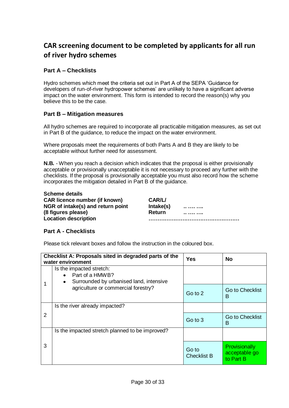# <span id="page-30-0"></span>**CAR screening document to be completed by applicants for all run of river hydro schemes**

## **Part A – Checklists**

Hydro schemes which meet the criteria set out in Part A of the SEPA "Guidance for developers of run-of-river hydropower schemes" are unlikely to have a significant adverse impact on the water environment. This form is intended to record the reason(s) why you believe this to be the case.

### **Part B – Mitigation measures**

All hydro schemes are required to incorporate all practicable mitigation measures, as set out in Part B of the guidance, to reduce the impact on the water environment.

Where proposals meet the requirements of both Parts A and B they are likely to be acceptable without further need for assessment.

**N.B.** - When you reach a decision which indicates that the proposal is either provisionally acceptable or provisionally unacceptable it is not necessary to proceed any further with the checklists. If the proposal is provisionally acceptable you must also record how the scheme incorporates the mitigation detailed in Part B of the guidance.

**Scheme details CAR licence number (if known) CAR/L/ NGR** of intake(s) and return point lntake(s)  $\ldots$  ..... **(8 figures please) Return .. …. ….**

**Location description ……………………………………………**

### **Part A - Checklists**

Please tick relevant boxes and follow the instruction in the coloured box.

| Checklist A: Proposals sited in degraded parts of the<br>water environment |                                                                                                          | Yes                         | No                                          |
|----------------------------------------------------------------------------|----------------------------------------------------------------------------------------------------------|-----------------------------|---------------------------------------------|
|                                                                            | Is the impacted stretch:<br>Part of a HMWB?<br>$\bullet$<br>Surrounded by urbanised land, intensive<br>٠ |                             |                                             |
| agriculture or commercial forestry?                                        |                                                                                                          | Go to 2                     | <b>Go to Checklist</b><br>в                 |
|                                                                            | Is the river already impacted?                                                                           |                             |                                             |
| 2                                                                          |                                                                                                          | Go to 3                     | <b>Go to Checklist</b><br>В                 |
|                                                                            | Is the impacted stretch planned to be improved?                                                          |                             |                                             |
| 3                                                                          |                                                                                                          | Go to<br><b>Checklist B</b> | Provisionally<br>acceptable go<br>to Part B |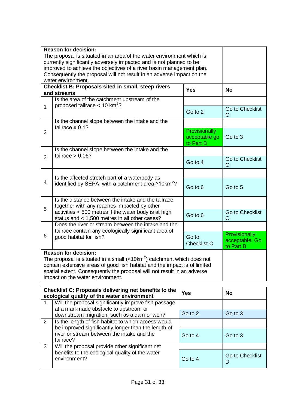| <b>Reason for decision:</b><br>The proposal is situated in an area of the water environment which is<br>currently significantly adversely impacted and is not planned to be<br>improved to achieve the objectives of a river basin management plan.<br>Consequently the proposal will not result in an adverse impact on the<br>water environment. |                                                                                                                     |                                                    |                                              |
|----------------------------------------------------------------------------------------------------------------------------------------------------------------------------------------------------------------------------------------------------------------------------------------------------------------------------------------------------|---------------------------------------------------------------------------------------------------------------------|----------------------------------------------------|----------------------------------------------|
|                                                                                                                                                                                                                                                                                                                                                    | Checklist B: Proposals sited in small, steep rivers<br>and streams                                                  | <b>Yes</b>                                         | <b>No</b>                                    |
|                                                                                                                                                                                                                                                                                                                                                    | Is the area of the catchment upstream of the<br>proposed tailrace $< 10$ km <sup>2</sup> ?                          |                                                    |                                              |
| $\mathbf{1}$                                                                                                                                                                                                                                                                                                                                       |                                                                                                                     | Go to 2                                            | Go to Checklist<br>C                         |
|                                                                                                                                                                                                                                                                                                                                                    | Is the channel slope between the intake and the<br>tailrace $\geq 0.1$ ?                                            |                                                    |                                              |
| $\overline{2}$                                                                                                                                                                                                                                                                                                                                     |                                                                                                                     | <b>Provisionally</b><br>acceptable go<br>to Part B | Go to 3                                      |
|                                                                                                                                                                                                                                                                                                                                                    | Is the channel slope between the intake and the<br>tailrace $> 0.06?$                                               |                                                    |                                              |
| 3                                                                                                                                                                                                                                                                                                                                                  |                                                                                                                     | Go to 4                                            | Go to Checklist<br>C                         |
|                                                                                                                                                                                                                                                                                                                                                    | Is the affected stretch part of a waterbody as<br>identified by SEPA, with a catchment area $\geq 10 \text{km}^2$ ? |                                                    |                                              |
| $\overline{4}$                                                                                                                                                                                                                                                                                                                                     |                                                                                                                     | Go to 6                                            | Go to 5                                      |
|                                                                                                                                                                                                                                                                                                                                                    | Is the distance between the intake and the tailrace<br>together with any reaches impacted by other                  |                                                    |                                              |
| 5                                                                                                                                                                                                                                                                                                                                                  | activities < 500 metres if the water body is at high<br>status and < 1,500 metres in all other cases?               | Go to 6                                            | <b>Go to Checklist</b><br>C                  |
|                                                                                                                                                                                                                                                                                                                                                    | Does the river or stream between the intake and the<br>tailrace contain any ecologically significant area of        |                                                    |                                              |
| 6                                                                                                                                                                                                                                                                                                                                                  | good habitat for fish?                                                                                              | Go to<br><b>Checklist C</b>                        | Provisionally<br>acceptable. Go<br>to Part B |
| <b>Reason for decision:</b><br>The proposal is situated in a small $\left\langle \langle 10km^2 \rangle \right\rangle$ catchment which does not<br>contain extensive areas of good fish habitat and the impact is of limited<br>spatial extent. Consequently the proposal will not result in an adverse<br>impact on the water environment.        |                                                                                                                     |                                                    |                                              |

| Checklist C: Proposals delivering net benefits to the<br>ecological quality of the water environment |                |                                                                                                                                                                       | <b>Yes</b> | <b>No</b>            |
|------------------------------------------------------------------------------------------------------|----------------|-----------------------------------------------------------------------------------------------------------------------------------------------------------------------|------------|----------------------|
|                                                                                                      |                | Will the proposal significantly improve fish passage<br>at a man-made obstacle to upstream or                                                                         |            |                      |
|                                                                                                      |                | downstream migration, such as a dam or weir?                                                                                                                          | Go to 2    | Go to 3              |
|                                                                                                      | $\overline{2}$ | Is the length of fish habitat to which access would<br>be improved significantly longer than the length of<br>river or stream between the intake and the<br>tailrace? |            |                      |
|                                                                                                      |                |                                                                                                                                                                       | Go to 4    | Go to 3              |
|                                                                                                      | 3              | Will the proposal provide other significant net                                                                                                                       |            |                      |
|                                                                                                      |                | benefits to the ecological quality of the water<br>environment?                                                                                                       | Go to 4    | Go to Checklist<br>D |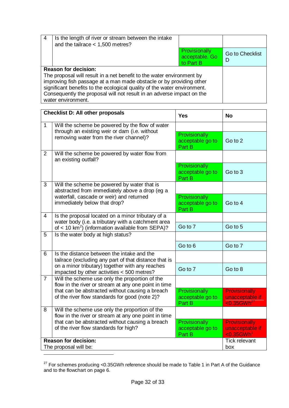| 4                                                                        | Is the length of river or stream between the intake<br>and the tailrace $<$ 1,500 metres? |                                              |                             |
|--------------------------------------------------------------------------|-------------------------------------------------------------------------------------------|----------------------------------------------|-----------------------------|
|                                                                          |                                                                                           | Provisionally<br>acceptable. Go<br>to Part B | <b>Go to Checklist</b><br>D |
|                                                                          | <b>Reason for decision:</b>                                                               |                                              |                             |
|                                                                          | The proposal will result in a net benefit to the water environment by                     |                                              |                             |
|                                                                          | improving fish passage at a man made obstacle or by providing other                       |                                              |                             |
| significant benefits to the ecological quality of the water environment. |                                                                                           |                                              |                             |
| Consequently the proposal will not result in an adverse impact on the    |                                                                                           |                                              |                             |
| water environment.                                                       |                                                                                           |                                              |                             |

| <b>Checklist D: All other proposals</b>              |                                                                                                                    | <b>Yes</b>                                  | <b>No</b>                                                             |  |
|------------------------------------------------------|--------------------------------------------------------------------------------------------------------------------|---------------------------------------------|-----------------------------------------------------------------------|--|
| $\overline{1}$                                       | Will the scheme be powered by the flow of water                                                                    |                                             |                                                                       |  |
|                                                      | through an existing weir or dam (i.e. without<br>removing water from the river channel)?                           | Provisionally<br>acceptable go to<br>Part B | Go to 2                                                               |  |
| 2                                                    | Will the scheme be powered by water flow from<br>an existing outfall?                                              |                                             |                                                                       |  |
|                                                      |                                                                                                                    | Provisionally<br>acceptable go to<br>Part B | Go to 3                                                               |  |
| 3                                                    | Will the scheme be powered by water that is<br>abstracted from immediately above a drop (eg a                      |                                             |                                                                       |  |
|                                                      | waterfall, cascade or weir) and returned<br>immediately below that drop?                                           | Provisionally<br>acceptable go to<br>Part B | Go to 4                                                               |  |
| $\overline{4}$                                       | Is the proposal located on a minor tributary of a                                                                  |                                             |                                                                       |  |
|                                                      | water body (i.e. a tributary with a catchment area<br>of < 10 km <sup>2</sup> ) (information available from SEPA)? | Go to 7                                     | Go to 5                                                               |  |
| 5                                                    | Is the water body at high status?                                                                                  |                                             |                                                                       |  |
|                                                      |                                                                                                                    | Go to 6                                     | Go to 7                                                               |  |
| 6                                                    | Is the distance between the intake and the<br>tailrace (excluding any part of that distance that is                |                                             |                                                                       |  |
|                                                      | on a minor tributary) together with any reaches<br>impacted by other activities < 500 metres?                      | Go to 7                                     | Go to 8                                                               |  |
| $\overline{7}$                                       | Will the scheme use only the proportion of the<br>flow in the river or stream at any one point in time             |                                             |                                                                       |  |
|                                                      | that can be abstracted without causing a breach<br>of the river flow standards for good (note 2)?                  | Provisionally<br>acceptable go to<br>Part B | <b>Provisionally</b><br>unacceptable if<br>$< 0.35$ GWh <sup>27</sup> |  |
| 8                                                    | Will the scheme use only the proportion of the<br>flow in the river or stream at any one point in time             |                                             |                                                                       |  |
|                                                      | that can be abstracted without causing a breach<br>of the river flow standards for high?                           | Provisionally<br>acceptable go to<br>Part B | <b>Provisionally</b><br>unacceptable if<br>$< 0.35$ GWh <sup>1</sup>  |  |
| <b>Reason for decision:</b><br>The proposal will be: |                                                                                                                    |                                             | <b>Tick relevant</b><br>box                                           |  |
|                                                      |                                                                                                                    |                                             |                                                                       |  |

<sup>&</sup>lt;sup>27</sup> For schemes producing <0.35GWh reference should be made to Table 1 in Part A of the Guidance and to the flowchart on page 6.

<u>.</u>